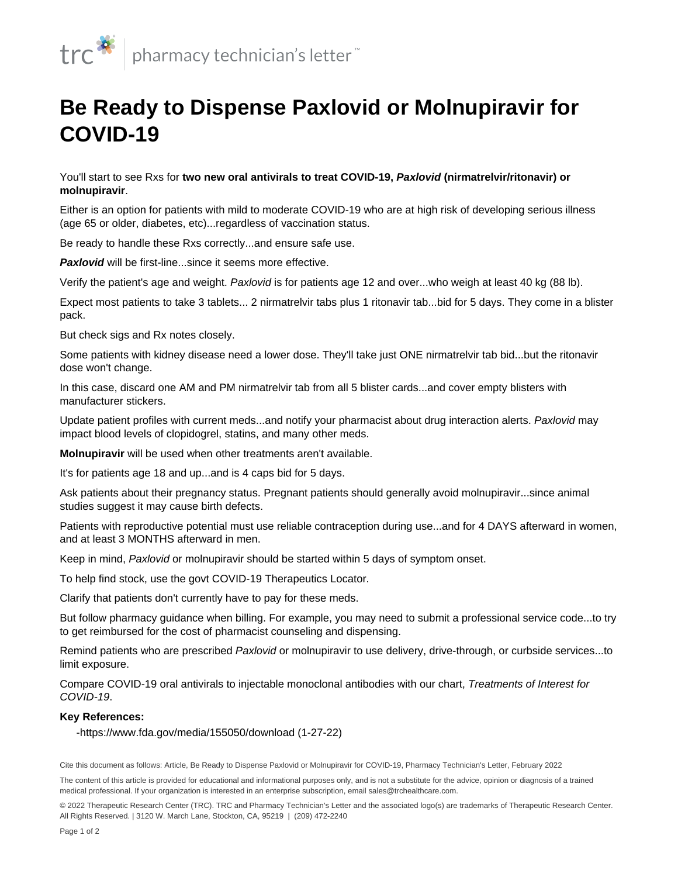

## **Be Ready to Dispense Paxlovid or Molnupiravir for COVID-19**

You'll start to see Rxs for **two new oral antivirals to treat COVID-19, Paxlovid (nirmatrelvir/ritonavir) or molnupiravir**.

Either is an option for patients with mild to moderate COVID-19 who are at high risk of developing serious illness (age 65 or older, diabetes, etc)...regardless of vaccination status.

Be ready to handle these Rxs correctly...and ensure safe use.

**Paxlovid** will be first-line...since it seems more effective.

Verify the patient's age and weight. Paxlovid is for patients age 12 and over...who weigh at least 40 kg (88 lb).

Expect most patients to take 3 tablets... 2 nirmatrelvir tabs plus 1 ritonavir tab...bid for 5 days. They come in a blister pack.

But check sigs and Rx notes closely.

Some patients with kidney disease need a lower dose. They'll take just ONE nirmatrelvir tab bid...but the ritonavir dose won't change.

In this case, discard one AM and PM nirmatrelvir tab from all 5 blister cards...and cover empty blisters with manufacturer stickers.

Update patient profiles with current meds...and notify your pharmacist about drug interaction alerts. Paxlovid may impact blood levels of clopidogrel, statins, and [many other meds.](https://www.covid19treatmentguidelines.nih.gov/therapies/statement-on-paxlovid-drug-drug-interactions/)

**Molnupiravir** will be used when other treatments aren't available.

It's for patients age 18 and up...and is 4 caps bid for 5 days.

Ask patients about their pregnancy status. Pregnant patients should generally avoid molnupiravir...since animal studies suggest it may cause birth defects.

Patients with reproductive potential must use reliable contraception during use...and for 4 DAYS afterward in women, and at least 3 MONTHS afterward in men.

Keep in mind, Paxlovid or molnupiravir should be started within 5 days of symptom onset.

To help find stock, use the [govt COVID-19 Therapeutics Locator.](https://covid-19-therapeutics-locator-dhhs.hub.arcgis.com/)

Clarify that patients don't currently have to pay for these meds.

But follow pharmacy guidance when billing. For example, you may need to submit a professional service code...to try to get reimbursed for the cost of pharmacist counseling and dispensing.

Remind patients who are prescribed Paxlovid or molnupiravir to use [delivery, drive-through, or curbside services](/content/articles/ptl/2020/may/be-creative-to-help-patients-get-their-meds)...to limit exposure.

Compare COVID-19 oral antivirals to injectable monoclonal antibodies with our chart, Treatments of Interest for COVID-19.

## **Key References:**

-https://www.fda.gov/media/155050/download (1-27-22)

Cite this document as follows: Article, Be Ready to Dispense Paxlovid or Molnupiravir for COVID-19, Pharmacy Technician's Letter, February 2022

© 2022 Therapeutic Research Center (TRC). TRC and Pharmacy Technician's Letter and the associated logo(s) are trademarks of Therapeutic Research Center. All Rights Reserved. | 3120 W. March Lane, Stockton, CA, 95219 | (209) 472-2240

The content of this article is provided for educational and informational purposes only, and is not a substitute for the advice, opinion or diagnosis of a trained medical professional. If your organization is interested in an enterprise subscription, email sales@trchealthcare.com.